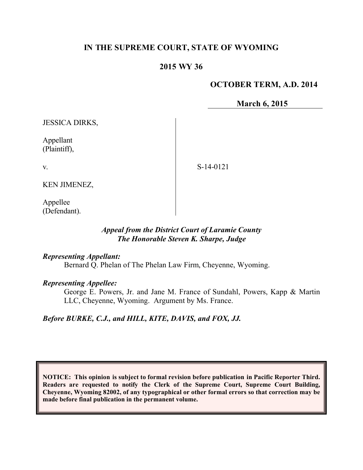# **IN THE SUPREME COURT, STATE OF WYOMING**

## **2015 WY 36**

### **OCTOBER TERM, A.D. 2014**

**March 6, 2015**

JESSICA DIRKS,

Appellant (Plaintiff),

v.

S-14-0121

KEN JIMENEZ,

Appellee (Defendant).

## *Appeal from the District Court of Laramie County The Honorable Steven K. Sharpe, Judge*

#### *Representing Appellant:*

Bernard Q. Phelan of The Phelan Law Firm, Cheyenne, Wyoming.

### *Representing Appellee:*

George E. Powers, Jr. and Jane M. France of Sundahl, Powers, Kapp & Martin LLC, Cheyenne, Wyoming. Argument by Ms. France.

### *Before BURKE, C.J., and HILL, KITE, DAVIS, and FOX, JJ.*

**NOTICE: This opinion is subject to formal revision before publication in Pacific Reporter Third. Readers are requested to notify the Clerk of the Supreme Court, Supreme Court Building, Cheyenne, Wyoming 82002, of any typographical or other formal errors so that correction may be made before final publication in the permanent volume.**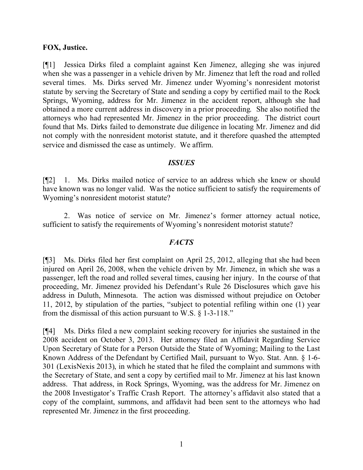### **FOX, Justice.**

[¶1] Jessica Dirks filed a complaint against Ken Jimenez, alleging she was injured when she was a passenger in a vehicle driven by Mr. Jimenez that left the road and rolled several times. Ms. Dirks served Mr. Jimenez under Wyoming's nonresident motorist statute by serving the Secretary of State and sending a copy by certified mail to the Rock Springs, Wyoming, address for Mr. Jimenez in the accident report, although she had obtained a more current address in discovery in a prior proceeding. She also notified the attorneys who had represented Mr. Jimenez in the prior proceeding. The district court found that Ms. Dirks failed to demonstrate due diligence in locating Mr. Jimenez and did not comply with the nonresident motorist statute, and it therefore quashed the attempted service and dismissed the case as untimely. We affirm.

### *ISSUES*

[¶2] 1. Ms. Dirks mailed notice of service to an address which she knew or should have known was no longer valid. Was the notice sufficient to satisfy the requirements of Wyoming's nonresident motorist statute?

2. Was notice of service on Mr. Jimenez's former attorney actual notice, sufficient to satisfy the requirements of Wyoming's nonresident motorist statute?

## *FACTS*

[¶3] Ms. Dirks filed her first complaint on April 25, 2012, alleging that she had been injured on April 26, 2008, when the vehicle driven by Mr. Jimenez, in which she was a passenger, left the road and rolled several times, causing her injury. In the course of that proceeding, Mr. Jimenez provided his Defendant's Rule 26 Disclosures which gave his address in Duluth, Minnesota. The action was dismissed without prejudice on October 11, 2012, by stipulation of the parties, "subject to potential refiling within one (1) year from the dismissal of this action pursuant to W.S. § 1-3-118."

[¶4] Ms. Dirks filed a new complaint seeking recovery for injuries she sustained in the 2008 accident on October 3, 2013. Her attorney filed an Affidavit Regarding Service Upon Secretary of State for a Person Outside the State of Wyoming; Mailing to the Last Known Address of the Defendant by Certified Mail, pursuant to Wyo. Stat. Ann. § 1-6- 301 (LexisNexis 2013), in which he stated that he filed the complaint and summons with the Secretary of State, and sent a copy by certified mail to Mr. Jimenez at his last known address. That address, in Rock Springs, Wyoming, was the address for Mr. Jimenez on the 2008 Investigator's Traffic Crash Report. The attorney's affidavit also stated that a copy of the complaint, summons, and affidavit had been sent to the attorneys who had represented Mr. Jimenez in the first proceeding.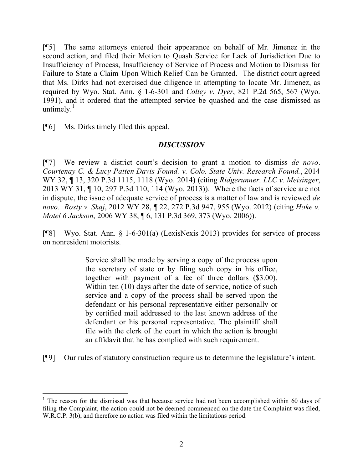[¶5] The same attorneys entered their appearance on behalf of Mr. Jimenez in the second action, and filed their Motion to Quash Service for Lack of Jurisdiction Due to Insufficiency of Process, Insufficiency of Service of Process and Motion to Dismiss for Failure to State a Claim Upon Which Relief Can be Granted. The district court agreed that Ms. Dirks had not exercised due diligence in attempting to locate Mr. Jimenez, as required by Wyo. Stat. Ann. § 1-6-301 and *Colley v. Dyer*, 821 P.2d 565, 567 (Wyo. 1991), and it ordered that the attempted service be quashed and the case dismissed as untimely. $\frac{1}{1}$ 

[¶6] Ms. Dirks timely filed this appeal.

## *DISCUSSION*

[¶7] We review a district court's decision to grant a motion to dismiss *de novo*. *Courtenay C. & Lucy Patten Davis Found. v. Colo. State Univ. Research Found.*, 2014 WY 32, ¶ 13, 320 P.3d 1115, 1118 (Wyo. 2014) (citing *Ridgerunner, LLC v. Meisinger*, 2013 WY 31, ¶ 10, 297 P.3d 110, 114 (Wyo. 2013)). Where the facts of service are not in dispute, the issue of adequate service of process is a matter of law and is reviewed *de novo. Rosty v. Skaj*, 2012 WY 28, ¶ 22, 272 P.3d 947, 955 (Wyo. 2012) (citing *Hoke v. Motel 6 Jackson*, 2006 WY 38, ¶ 6, 131 P.3d 369, 373 (Wyo. 2006)).

[¶8] Wyo. Stat. Ann. § 1-6-301(a) (LexisNexis 2013) provides for service of process on nonresident motorists.

> Service shall be made by serving a copy of the process upon the secretary of state or by filing such copy in his office, together with payment of a fee of three dollars (\$3.00). Within ten (10) days after the date of service, notice of such service and a copy of the process shall be served upon the defendant or his personal representative either personally or by certified mail addressed to the last known address of the defendant or his personal representative. The plaintiff shall file with the clerk of the court in which the action is brought an affidavit that he has complied with such requirement.

[¶9] Our rules of statutory construction require us to determine the legislature's intent.

<sup>&</sup>lt;sup>1</sup> The reason for the dismissal was that because service had not been accomplished within 60 days of filing the Complaint, the action could not be deemed commenced on the date the Complaint was filed, W.R.C.P. 3(b), and therefore no action was filed within the limitations period.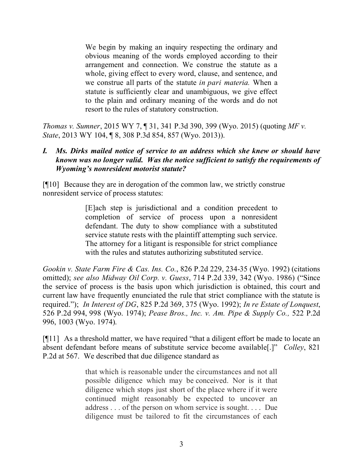We begin by making an inquiry respecting the ordinary and obvious meaning of the words employed according to their arrangement and connection. We construe the statute as a whole, giving effect to every word, clause, and sentence, and we construe all parts of the statute *in pari materia.* When a statute is sufficiently clear and unambiguous, we give effect to the plain and ordinary meaning of the words and do not resort to the rules of statutory construction.

*Thomas v. Sumner*, 2015 WY 7, ¶ 31, 341 P.3d 390, 399 (Wyo. 2015) (quoting *MF v. State*, 2013 WY 104, ¶ 8, 308 P.3d 854, 857 (Wyo. 2013)).

## *I. Ms. Dirks mailed notice of service to an address which she knew or should have known was no longer valid. Was the notice sufficient to satisfy the requirements of Wyoming's nonresident motorist statute?*

[¶10] Because they are in derogation of the common law, we strictly construe nonresident service of process statutes:

> [E]ach step is jurisdictional and a condition precedent to completion of service of process upon a nonresident defendant. The duty to show compliance with a substituted service statute rests with the plaintiff attempting such service. The attorney for a litigant is responsible for strict compliance with the rules and statutes authorizing substituted service.

*Gookin v. State Farm Fire & Cas. Ins. Co.*, 826 P.2d 229, 234-35 (Wyo. 1992) (citations omitted); *see also Midway Oil Corp. v. Guess*, 714 P.2d 339, 342 (Wyo. 1986) ("Since the service of process is the basis upon which jurisdiction is obtained, this court and current law have frequently enunciated the rule that strict compliance with the statute is required."); *In Interest of DG*, 825 P.2d 369, 375 (Wyo. 1992); *In re Estate of Lonquest*, 526 P.2d 994, 998 (Wyo. 1974); *Pease Bros., Inc. v. Am. Pipe & Supply Co.,* 522 P.2d 996, 1003 (Wyo. 1974).

[¶11] As a threshold matter, we have required "that a diligent effort be made to locate an absent defendant before means of substitute service become available[.]" *Colley*, 821 P.2d at 567. We described that due diligence standard as

> that which is reasonable under the circumstances and not all possible diligence which may be conceived. Nor is it that diligence which stops just short of the place where if it were continued might reasonably be expected to uncover an address . . . of the person on whom service is sought. . . . Due diligence must be tailored to fit the circumstances of each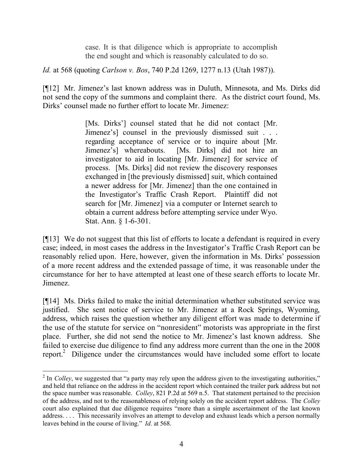case. It is that diligence which is appropriate to accomplish the end sought and which is reasonably calculated to do so.

*Id.* at 568 (quoting *Carlson v. Bos*, 740 P.2d 1269, 1277 n.13 (Utah 1987)).

[¶12] Mr. Jimenez's last known address was in Duluth, Minnesota, and Ms. Dirks did not send the copy of the summons and complaint there. As the district court found, Ms. Dirks' counsel made no further effort to locate Mr. Jimenez:

> [Ms. Dirks'] counsel stated that he did not contact [Mr. Jimenez's] counsel in the previously dismissed suit . . . regarding acceptance of service or to inquire about [Mr. Jimenez's] whereabouts. [Ms. Dirks] did not hire an investigator to aid in locating [Mr. Jimenez] for service of process. [Ms. Dirks] did not review the discovery responses exchanged in [the previously dismissed] suit, which contained a newer address for [Mr. Jimenez] than the one contained in the Investigator's Traffic Crash Report. Plaintiff did not search for [Mr. Jimenez] via a computer or Internet search to obtain a current address before attempting service under Wyo. Stat. Ann. § 1-6-301.

[¶13] We do not suggest that this list of efforts to locate a defendant is required in every case; indeed, in most cases the address in the Investigator's Traffic Crash Report can be reasonably relied upon. Here, however, given the information in Ms. Dirks' possession of a more recent address and the extended passage of time, it was reasonable under the circumstance for her to have attempted at least one of these search efforts to locate Mr. Jimenez.

[¶14] Ms. Dirks failed to make the initial determination whether substituted service was justified. She sent notice of service to Mr. Jimenez at a Rock Springs, Wyoming, address, which raises the question whether any diligent effort was made to determine if the use of the statute for service on "nonresident" motorists was appropriate in the first place. Further, she did not send the notice to Mr. Jimenez's last known address. She failed to exercise due diligence to find any address more current than the one in the 2008 report.<sup>2</sup> Diligence under the circumstances would have included some effort to locate

<sup>&</sup>lt;sup>2</sup> In *Colley*, we suggested that "a party may rely upon the address given to the investigating authorities," and held that reliance on the address in the accident report which contained the trailer park address but not the space number was reasonable. *Colley*, 821 P.2d at 569 n.5. That statement pertained to the precision of the address, and not to the reasonableness of relying solely on the accident report address. The *Colley*  court also explained that due diligence requires "more than a simple ascertainment of the last known address. . . . This necessarily involves an attempt to develop and exhaust leads which a person normally leaves behind in the course of living." *Id.* at 568.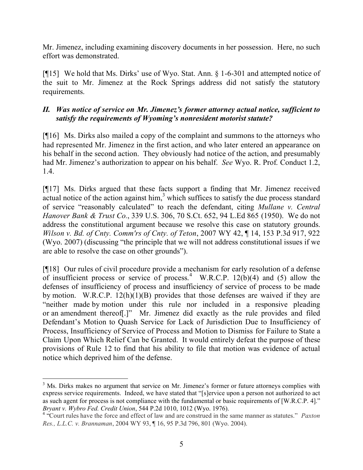Mr. Jimenez, including examining discovery documents in her possession. Here, no such effort was demonstrated.

[¶15] We hold that Ms. Dirks' use of Wyo. Stat. Ann. § 1-6-301 and attempted notice of the suit to Mr. Jimenez at the Rock Springs address did not satisfy the statutory requirements.

# *II. Was notice of service on Mr. Jimenez's former attorney actual notice, sufficient to satisfy the requirements of Wyoming's nonresident motorist statute?*

[¶16] Ms. Dirks also mailed a copy of the complaint and summons to the attorneys who had represented Mr. Jimenez in the first action, and who later entered an appearance on his behalf in the second action. They obviously had notice of the action, and presumably had Mr. Jimenez's authorization to appear on his behalf. *See* Wyo. R. Prof. Conduct 1.2, 1.4.

[¶17] Ms. Dirks argued that these facts support a finding that Mr. Jimenez received actual notice of the action against him, $3$  which suffices to satisfy the due process standard of service "reasonably calculated" to reach the defendant, citing *Mullane v. Central Hanover Bank & Trust Co.*, 339 U.S. 306, 70 S.Ct. 652, 94 L.Ed 865 (1950). We do not address the constitutional argument because we resolve this case on statutory grounds. *Wilson v. Bd. of Cnty. Comm'rs of Cnty. of Teton*, 2007 WY 42, ¶ 14, 153 P.3d 917, 922 (Wyo. 2007) (discussing "the principle that we will not address constitutional issues if we are able to resolve the case on other grounds").

[¶18] Our rules of civil procedure provide a mechanism for early resolution of a defense of insufficient process or service of process.<sup>4</sup> W.R.C.P. 12(b)(4) and (5) allow the defenses of insufficiency of process and insufficiency of service of process to be made by motion. W.R.C.P. 12(h)(1)(B) provides that those defenses are waived if they are "neither made by motion under this rule nor included in a responsive pleading or an amendment thereof[.]" Mr. Jimenez did exactly as the rule provides and filed Defendant's Motion to Quash Service for Lack of Jurisdiction Due to Insufficiency of Process, Insufficiency of Service of Process and Motion to Dismiss for Failure to State a Claim Upon Which Relief Can be Granted. It would entirely defeat the purpose of these provisions of Rule 12 to find that his ability to file that motion was evidence of actual notice which deprived him of the defense.

 <sup>3</sup> Ms. Dirks makes no argument that service on Mr. Jimenez's former or future attorneys complies with express service requirements. Indeed, we have stated that "[s]ervice upon a person not authorized to act as such agent for process is not compliance with the fundamental or basic requirements of [W.R.C.P. 4]." *Bryant v. Wybro Fed. Credit Union*, 544 P.2d 1010, 1012 (Wyo. 1976).

<sup>4</sup> "Court rules have the force and effect of law and are construed in the same manner as statutes." *Paxton Res., L.L.C. v. Brannaman*, 2004 WY 93, ¶ 16, 95 P.3d 796, 801 (Wyo. 2004).